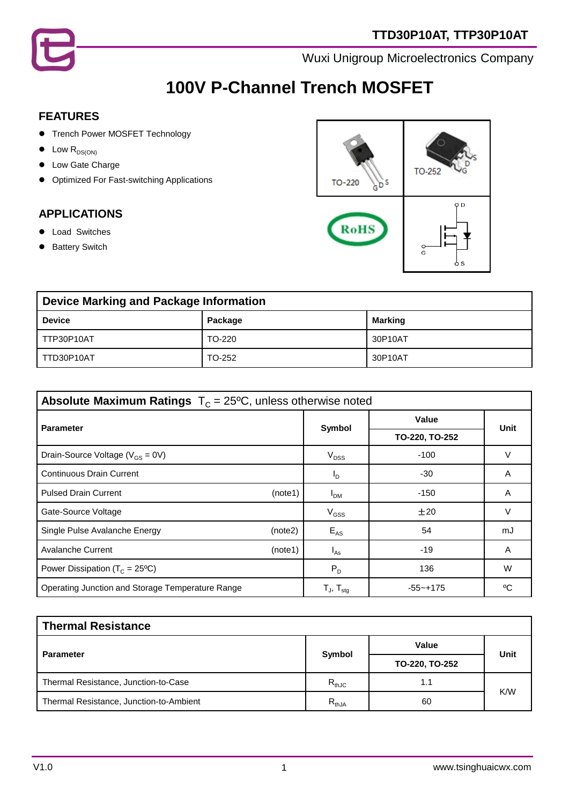

# **100V P-Channel Trench MOSFET**

### **FEATURES**

- **•** Trench Power MOSFET Technology
- $\bullet$  Low  $R_{DS(ON)}$
- $\bullet$  Low Gate Charge
- **•** Optimized For Fast-switching Applications

### **APPLICATIONS**

- **•** Load Switches
- **•** Battery Switch



| <b>Device Marking and Package Information</b> |         |                |  |
|-----------------------------------------------|---------|----------------|--|
| <b>Device</b>                                 | Package | <b>Marking</b> |  |
| TTP30P10AT                                    | TO-220  | 30P10AT        |  |
| TTD30P10AT                                    | TO-252  | 30P10AT        |  |

| <b>Absolute Maximum Ratings</b> $T_c = 25^{\circ}C$ , unless otherwise noted |                     |                |        |  |
|------------------------------------------------------------------------------|---------------------|----------------|--------|--|
| <b>Parameter</b>                                                             |                     | Value          | Unit   |  |
|                                                                              | Symbol              | TO-220, TO-252 |        |  |
| Drain-Source Voltage ( $V_{GS} = 0V$ )                                       | $V_{DSS}$           | $-100$         | V      |  |
| <b>Continuous Drain Current</b>                                              | $I_{\text{D}}$      | -30            | A      |  |
| <b>Pulsed Drain Current</b><br>(note1)                                       | I <sub>DM</sub>     | -150           | A      |  |
| Gate-Source Voltage                                                          | $V_{GSS}$           | ±20            | $\vee$ |  |
| Single Pulse Avalanche Energy<br>(note2)                                     | $E_{AS}$            | 54             | mJ     |  |
| <b>Avalanche Current</b><br>(note1)                                          | $I_{\text{As}}$     | $-19$          | A      |  |
| Power Dissipation ( $T_c = 25^{\circ}C$ )                                    | $P_D$               | 136            | W      |  |
| Operating Junction and Storage Temperature Range                             | $T_{J}$ , $T_{sta}$ | $-55 - +175$   | °C     |  |

| <b>Thermal Resistance</b>               |            |                |      |  |
|-----------------------------------------|------------|----------------|------|--|
|                                         |            | Value          |      |  |
| <b>Parameter</b>                        | Symbol     | TO-220, TO-252 | Unit |  |
| Thermal Resistance, Junction-to-Case    | $R_{thJC}$ | 1.1            | K/W  |  |
| Thermal Resistance, Junction-to-Ambient | $R_{thJA}$ | 60             |      |  |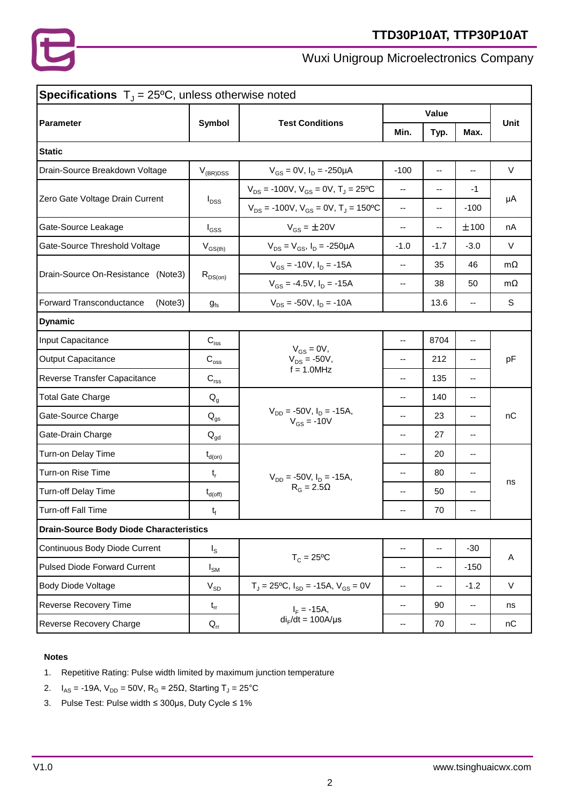

| <b>Specifications</b> $T_y = 25^{\circ}C$ , unless otherwise noted |                                  |                                                         |                          |                        |                |             |
|--------------------------------------------------------------------|----------------------------------|---------------------------------------------------------|--------------------------|------------------------|----------------|-------------|
| <b>Parameter</b>                                                   | <b>Test Conditions</b><br>Symbol |                                                         | Value                    |                        |                | <b>Unit</b> |
|                                                                    |                                  |                                                         | Min.                     | Typ.                   | Max.           |             |
| <b>Static</b>                                                      |                                  |                                                         |                          |                        |                |             |
| Drain-Source Breakdown Voltage                                     | $V_{(BR)DSS}$                    | $V_{GS} = 0V$ , $I_D = -250\mu A$                       | $-100$                   | $\qquad \qquad \cdots$ | --             | V           |
|                                                                    | $I_{DSS}$                        | $V_{DS}$ = -100V, $V_{GS}$ = 0V, T <sub>J</sub> = 25°C  | --                       | --                     | $-1$           |             |
| Zero Gate Voltage Drain Current                                    |                                  | $V_{DS}$ = -100V, $V_{GS}$ = 0V, T <sub>J</sub> = 150°C | --                       | --                     | $-100$         | μA          |
| Gate-Source Leakage                                                | $I_{GSS}$                        | $V_{GS} = \pm 20V$                                      | $\overline{\phantom{a}}$ | --                     | ±100           | nA          |
| Gate-Source Threshold Voltage                                      | $\rm V_{GS(th)}$                 | $V_{DS} = V_{GS}$ , $I_D = -250 \mu A$                  | $-1.0$                   | $-1.7$                 | $-3.0$         | $\vee$      |
|                                                                    |                                  | $V_{GS}$ = -10V, $I_D$ = -15A                           | --                       | 35                     | 46             | $m\Omega$   |
| Drain-Source On-Resistance (Note3)                                 | $R_{DS(on)}$                     | $V_{GS}$ = -4.5V, $I_D$ = -15A                          | --                       | 38                     | 50             | $m\Omega$   |
| Forward Transconductance<br>(Note3)                                | $g_{fs}$                         | $V_{DS}$ = -50V, $I_D$ = -10A                           |                          | 13.6                   | --             | S           |
| <b>Dynamic</b>                                                     |                                  |                                                         |                          |                        |                |             |
| Input Capacitance                                                  | $\mathbf{C}_{\text{iss}}$        | $V_{GS} = 0V$ ,                                         | --                       | 8704                   | --             |             |
| <b>Output Capacitance</b>                                          | $\mathbf{C}_{\mathrm{oss}}$      | $V_{DS} = -50V,$                                        | --                       | 212                    | --             | pF          |
| Reverse Transfer Capacitance                                       | $C_{\text{rss}}$                 | $f = 1.0 MHz$                                           | --                       | 135                    | --             |             |
| <b>Total Gate Charge</b>                                           | $Q_q$                            |                                                         | $-$                      | 140                    | --             |             |
| Gate-Source Charge                                                 | $Q_{gs}$                         | $V_{DD} = -50V, I_D = -15A,$<br>$V_{GS} = -10V$         | $-$                      | 23                     | $\overline{a}$ | nC          |
| Gate-Drain Charge                                                  | $\mathsf{Q}_{\mathsf{gd}}$       |                                                         | --                       | 27                     | $\frac{1}{2}$  |             |
| Turn-on Delay Time                                                 | $t_{d(on)}$                      |                                                         | --                       | 20                     | ۰.             |             |
| Turn-on Rise Time                                                  | $t_r$                            | $V_{DD}$ = -50V, $I_D$ = -15A,                          | --                       | 80                     | --             |             |
| Turn-off Delay Time                                                | $t_{d(\text{off})}$              | $R_G = 2.5\Omega$                                       | $-$                      | 50                     | --             | ns          |
| Turn-off Fall Time                                                 | $\mathsf{t}_{\mathsf{f}}$        |                                                         | $-$                      | 70                     | $-$            |             |
| <b>Drain-Source Body Diode Characteristics</b>                     |                                  |                                                         |                          |                        |                |             |
| Continuous Body Diode Current                                      | $I_{\rm S}$                      | $T_c = 25$ °C                                           | --                       | --                     | $-30$          |             |
| <b>Pulsed Diode Forward Current</b>                                | $I_{\mathsf{SM}}$                |                                                         | --                       | --                     | $-150$         | A           |
| <b>Body Diode Voltage</b>                                          | $\rm V_{SD}$                     | $T_J = 25$ °C, $I_{SD} = -15A$ , $V_{GS} = 0V$          | ۰.                       | --                     | $-1.2$         | V           |
| Reverse Recovery Time                                              | $t_{rr}$                         | $I_F = -15A,$                                           | $\overline{\phantom{a}}$ | 90                     | --             | ns          |
| Reverse Recovery Charge                                            | $Q_{rr}$                         | $di_F/dt = 100A/\mu s$                                  | --                       | 70                     | ۰.             | nC          |
|                                                                    |                                  |                                                         |                          |                        |                |             |

### **Notes**

- 1. Repetitive Rating: Pulse width limited by maximum junction temperature
- 2.  $I_{AS}$  = -19A,  $V_{DD}$  = 50V, R<sub>G</sub> = 25Ω, Starting T<sub>J</sub> = 25°C
- 3. Pulse Test: Pulse width ≤ 300μs, Duty Cycle ≤ 1%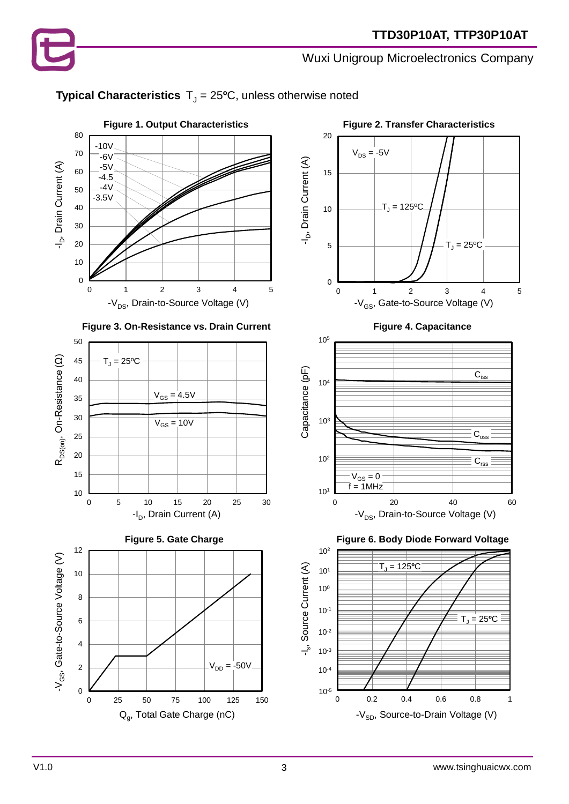### **Typical Characteristics**  $T_J = 25$ <sup>o</sup>C, unless otherwise noted







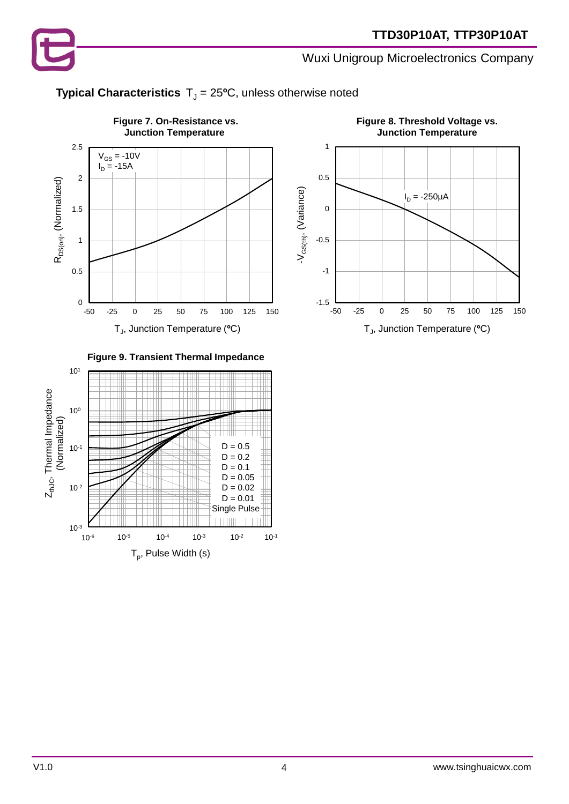

### **Typical Characteristics**  $T_J = 25$ <sup>o</sup>C, unless otherwise noted





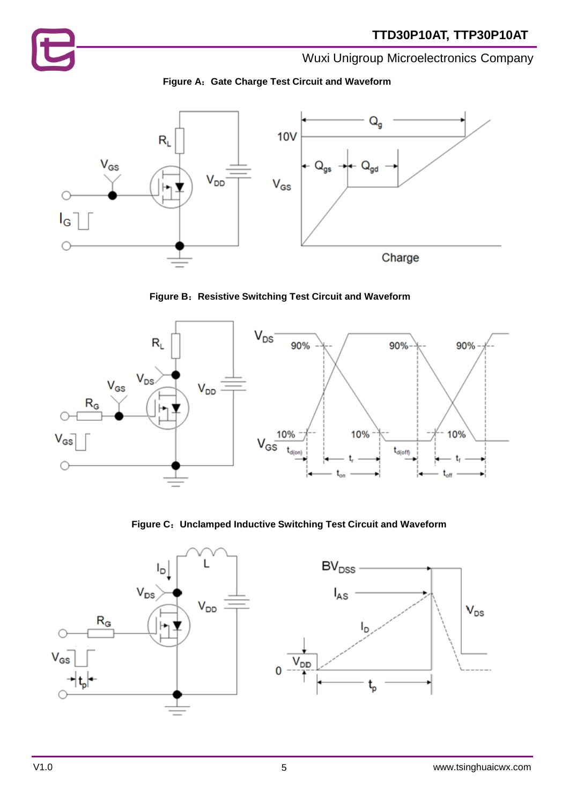







**Figure C**:**Unclamped Inductive Switching Test Circuit and Waveform**

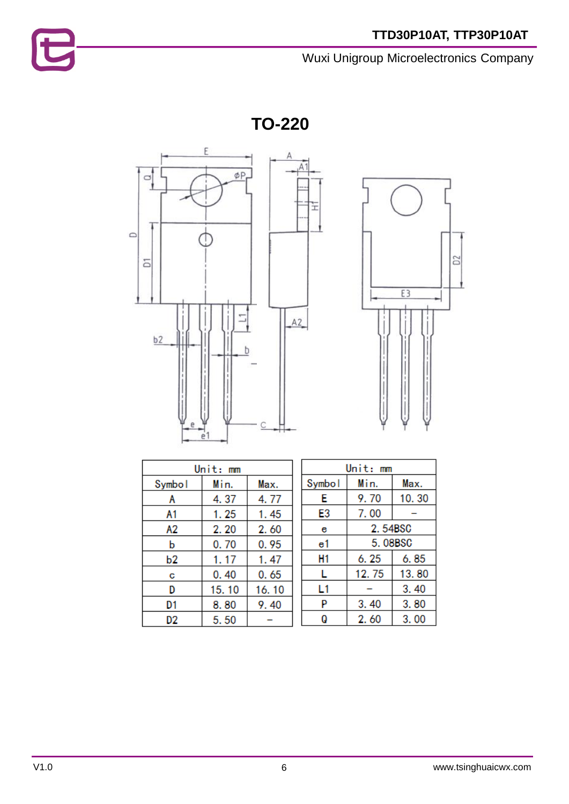**TO-220**





| Unit: mm |              |       |  |
|----------|--------------|-------|--|
| Symbol   | Min.<br>Max. |       |  |
| А        | 4.37         | 4.77  |  |
| A1       | 1.25         | 1.45  |  |
| А2       | 2.20         | 2.60  |  |
| b        | 0.70         | 0.95  |  |
| b2       | 1.17         | 1.47  |  |
| С        | 0.40         | 0.65  |  |
| D        | 15.10        | 16.10 |  |
| D1       | 8.80         | 9.40  |  |
| D2       | 5.50         |       |  |

| Unit: mm |              |       |  |
|----------|--------------|-------|--|
| Symbol   | Min.<br>Max. |       |  |
| Е        | 9.70         | 10.30 |  |
| E3       | 7.00         |       |  |
| е        | 2.54BSC      |       |  |
| e1       | 5.08BSC      |       |  |
| H1       | 6. 25        | 6.85  |  |
| L        | 12.75        | 13.80 |  |
| L1       |              | 3.40  |  |
| P        | 3.40         | 3.80  |  |
| Q        | 2.60         | 3.00  |  |

t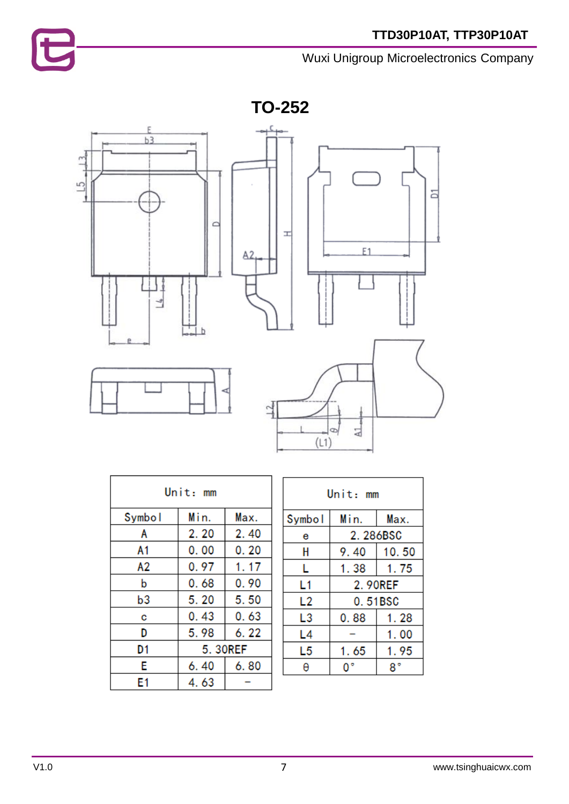

**TO-252**



| Unit: mm      |      |      |  |
|---------------|------|------|--|
| Symbol        | Min. | Max. |  |
| Α             | 2.20 | 2.40 |  |
| A1            | 0.00 | 0.20 |  |
| А2            | 0.97 | 1.17 |  |
| b             | 0.68 | 0.90 |  |
| b3            | 5.20 | 5.50 |  |
| с             | 0.43 | 0.63 |  |
| D             | 5.98 | 6.22 |  |
| 5.30REF<br>D1 |      |      |  |
| E             | 6.40 | 6.80 |  |
| E1            | 4.63 |      |  |

| Unit: mm |          |       |  |
|----------|----------|-------|--|
| Symbol   | Min.     | Max.  |  |
| е        | 2.286BSC |       |  |
| Н        | 9.40     | 10.50 |  |
| L        | 1.38     | 1.75  |  |
| L1       | 2.90REF  |       |  |
| L2       | 0.51BSC  |       |  |
| L3       | 0.88     | 1.28  |  |
| L4       | 1.00     |       |  |
| L5       | 1.65     | 1.95  |  |
|          |          |       |  |